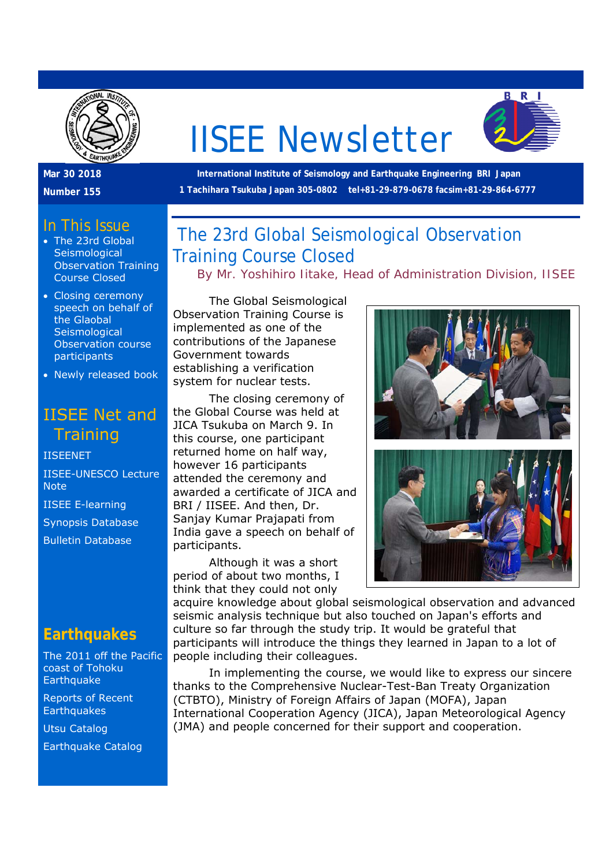

# IISEE Newsletter



 **International Institute of Seismology and Earthquake Engineering BRI Japan 1 Tachihara Tsukuba Japan 305-0802 tel+81-29-879-0678 facsim+81-29-864-6777** 

#### In This Issue

**Mar 30 2018 Number 155** 

- The 23rd Global **Seismological** Observation Training Course Closed
- Closing ceremony speech on behalf of the Glaobal **Seismological** Observation course participants
- Newly released book

# IISEE Net and **Training**

IISEENET IISEE-UNESCO Lecture Note IISEE E-learning Synopsis Database

## **Earthquakes**

Bulletin Database

The 2011 off the Pacific coast of Tohoku **Earthquake** 

Reports of Recent **Earthquakes** 

Utsu Catalog

Earthquake Catalog

# The 23rd Global Seismological Observation Training Course Closed

*By Mr. Yoshihiro Iitake, Head of Administration Division, IISEE*

 The Global Seismological Observation Training Course is implemented as one of the contributions of the Japanese Government towards establishing a verification system for nuclear tests.

 The closing ceremony of the Global Course was held at JICA Tsukuba on March 9. In this course, one participant returned home on half way, however 16 participants attended the ceremony and awarded a certificate of JICA and BRI / IISEE. And then, Dr. Sanjay Kumar Prajapati from India gave a speech on behalf of participants.

 Although it was a short period of about two months, I think that they could not only



acquire knowledge about global seismological observation and advanced seismic analysis technique but also touched on Japan's efforts and culture so far through the study trip. It would be grateful that participants will introduce the things they learned in Japan to a lot of people including their colleagues.

 In implementing the course, we would like to express our sincere thanks to the Comprehensive Nuclear-Test-Ban Treaty Organization (CTBTO), Ministry of Foreign Affairs of Japan (MOFA), Japan International Cooperation Agency (JICA), Japan Meteorological Agency (JMA) and people concerned for their support and cooperation.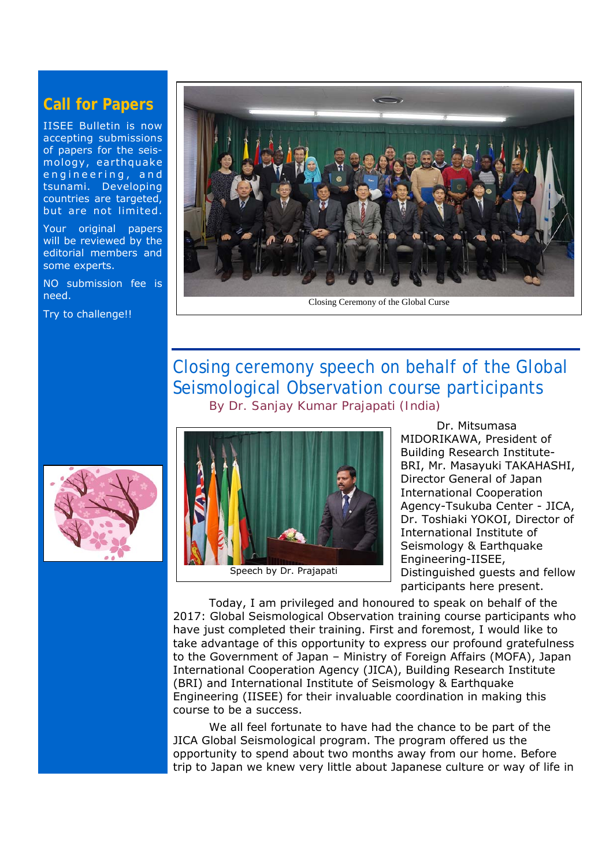#### **Call for Papers**

IISEE Bulletin is now accepting submissions of papers for the seismology, earthquake engineering, and tsunami. Developing countries are targeted, but are not limited.

Your original papers will be reviewed by the editorial members and some experts.

NO submission fee is need.

Try to challenge!!



### Closing ceremony speech on behalf of the Global Seismological Observation course participants  *By Dr. Sanjay Kumar Prajapati (India)*





 Dr. Mitsumasa MIDORIKAWA, President of Building Research Institute-BRI, Mr. Masayuki TAKAHASHI, Director General of Japan International Cooperation Agency-Tsukuba Center - JICA, Dr. Toshiaki YOKOI, Director of International Institute of Seismology & Earthquake Engineering-IISEE, Distinguished guests and fellow participants here present.

 Today, I am privileged and honoured to speak on behalf of the 2017: Global Seismological Observation training course participants who have just completed their training. First and foremost, I would like to take advantage of this opportunity to express our profound gratefulness to the Government of Japan – Ministry of Foreign Affairs (MOFA), Japan International Cooperation Agency (JICA), Building Research Institute (BRI) and International Institute of Seismology & Earthquake Engineering (IISEE) for their invaluable coordination in making this course to be a success.

 We all feel fortunate to have had the chance to be part of the JICA Global Seismological program. The program offered us the opportunity to spend about two months away from our home. Before trip to Japan we knew very little about Japanese culture or way of life in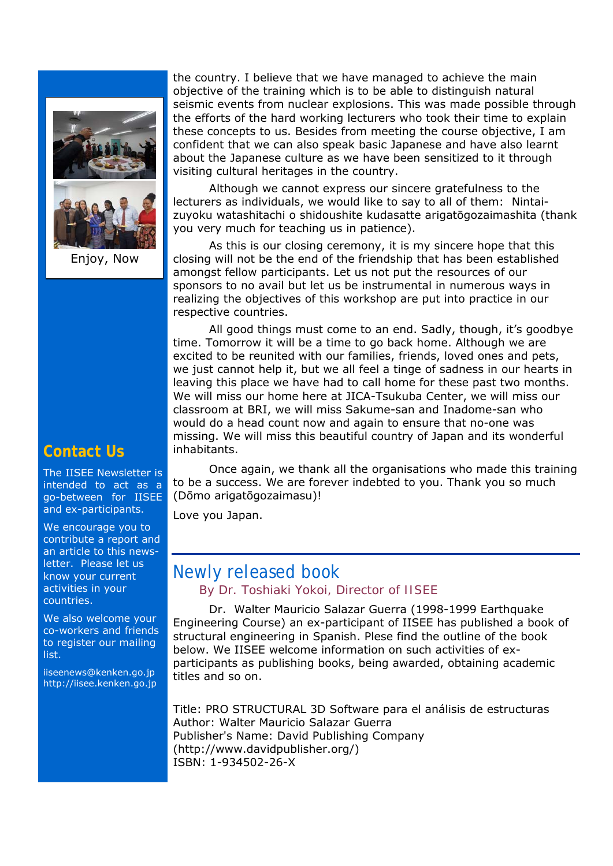

Enjoy, Now

the country. I believe that we have managed to achieve the main objective of the training which is to be able to distinguish natural seismic events from nuclear explosions. This was made possible through the efforts of the hard working lecturers who took their time to explain these concepts to us. Besides from meeting the course objective, I am confident that we can also speak basic Japanese and have also learnt about the Japanese culture as we have been sensitized to it through visiting cultural heritages in the country.

 Although we cannot express our sincere gratefulness to the lecturers as individuals, we would like to say to all of them: Nintaizuyoku watashitachi o shidoushite kudasatte arigatōgozaimashita (thank you very much for teaching us in patience).

 As this is our closing ceremony, it is my sincere hope that this closing will not be the end of the friendship that has been established amongst fellow participants. Let us not put the resources of our sponsors to no avail but let us be instrumental in numerous ways in realizing the objectives of this workshop are put into practice in our respective countries.

 All good things must come to an end. Sadly, though, it's goodbye time. Tomorrow it will be a time to go back home. Although we are excited to be reunited with our families, friends, loved ones and pets, we just cannot help it, but we all feel a tinge of sadness in our hearts in leaving this place we have had to call home for these past two months. We will miss our home here at JICA-Tsukuba Center, we will miss our classroom at BRI, we will miss Sakume-san and Inadome-san who would do a head count now and again to ensure that no-one was missing. We will miss this beautiful country of Japan and its wonderful inhabitants.

 Once again, we thank all the organisations who made this training to be a success. We are forever indebted to you. Thank you so much (Dōmo arigatōgozaimasu)!

Love you Japan.

#### Newly released book *By Dr. Toshiaki Yokoi, Director of IISEE*

 Dr. Walter Mauricio Salazar Guerra (1998-1999 Earthquake Engineering Course) an ex-participant of IISEE has published a book of structural engineering in Spanish. Plese find the outline of the book below. We IISEE welcome information on such activities of exparticipants as publishing books, being awarded, obtaining academic titles and so on.

Title: PRO STRUCTURAL 3D Software para el análisis de estructuras Author: Walter Mauricio Salazar Guerra Publisher's Name: David Publishing Company (http://www.davidpublisher.org/) ISBN: 1-934502-26-X

#### **Contact Us**

The IISEE Newsletter is intended to act as a go-between for IISEE and ex-participants.

We encourage you to contribute a report and an article to this newsletter. Please let us know your current activities in your countries.

We also welcome your co-workers and friends to register our mailing list.

iiseenews@kenken.go.jp http://iisee.kenken.go.jp